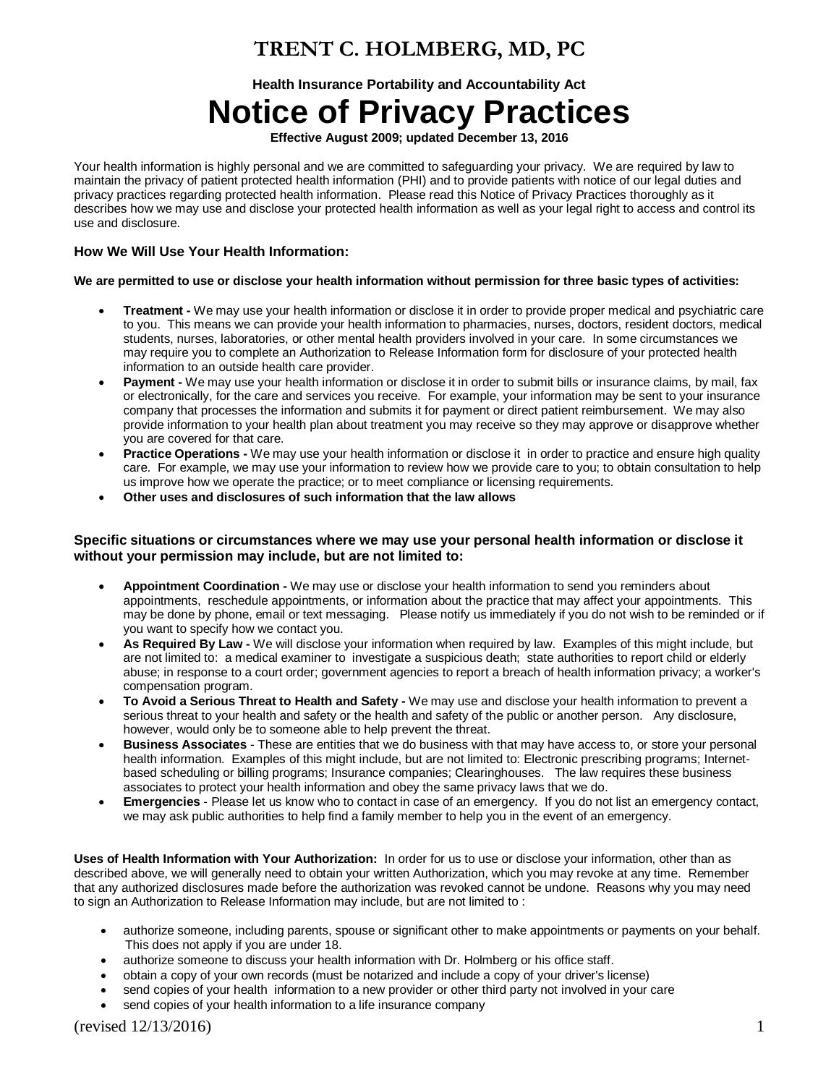## **TRENT C. HOLMBERG, MD, PC**

**Health Insurance Portability and Accountability Act**

# **Notice of Privacy Practices**

**Effective August 2009; updated December 13, 2016**

Your health information is highly personal and we are committed to safeguarding your privacy. We are required by law to maintain the privacy of patient protected health information (PHI) and to provide patients with notice of our legal duties and privacy practices regarding protected health information. Please read this Notice of Privacy Practices thoroughly as it describes how we may use and disclose your protected health information as well as your legal right to access and control its use and disclosure.

### **How We Will Use Your Health Information:**

#### **We are permitted to use or disclose your health information without permission for three basic types of activities:**

- **Treatment -** We may use your health information or disclose it in order to provide proper medical and psychiatric care to you. This means we can provide your health information to pharmacies, nurses, doctors, resident doctors, medical students, nurses, laboratories, or other mental health providers involved in your care. In some circumstances we may require you to complete an Authorization to Release Information form for disclosure of your protected health information to an outside health care provider.
- **Payment -** We may use your health information or disclose it in order to submit bills or insurance claims, by mail, fax or electronically, for the care and services you receive. For example, your information may be sent to your insurance company that processes the information and submits it for payment or direct patient reimbursement. We may also provide information to your health plan about treatment you may receive so they may approve or disapprove whether you are covered for that care.
- **Practice Operations -** We may use your health information or disclose it in order to practice and ensure high quality care. For example, we may use your information to review how we provide care to you; to obtain consultation to help us improve how we operate the practice; or to meet compliance or licensing requirements.
- **Other uses and disclosures of such information that the law allows**

#### **Specific situations or circumstances where we may use your personal health information or disclose it without your permission may include, but are not limited to:**

- **Appointment Coordination -** We may use or disclose your health information to send you reminders about appointments, reschedule appointments, or information about the practice that may affect your appointments. This may be done by phone, email or text messaging. Please notify us immediately if you do not wish to be reminded or if you want to specify how we contact you.
- **As Required By Law -** We will disclose your information when required by law. Examples of this might include, but are not limited to: a medical examiner to investigate a suspicious death; state authorities to report child or elderly abuse; in response to a court order; government agencies to report a breach of health information privacy; a worker's compensation program.
- **To Avoid a Serious Threat to Health and Safety -** We may use and disclose your health information to prevent a serious threat to your health and safety or the health and safety of the public or another person. Any disclosure, however, would only be to someone able to help prevent the threat.
- **Business Associates** These are entities that we do business with that may have access to, or store your personal health information. Examples of this might include, but are not limited to: Electronic prescribing programs; Internetbased scheduling or billing programs; Insurance companies; Clearinghouses. The law requires these business associates to protect your health information and obey the same privacy laws that we do.
- **Emergencies** Please let us know who to contact in case of an emergency. If you do not list an emergency contact, we may ask public authorities to help find a family member to help you in the event of an emergency.

**Uses of Health Information with Your Authorization:** In order for us to use or disclose your information, other than as described above, we will generally need to obtain your written Authorization, which you may revoke at any time. Remember that any authorized disclosures made before the authorization was revoked cannot be undone. Reasons why you may need to sign an Authorization to Release Information may include, but are not limited to :

- authorize someone, including parents, spouse or significant other to make appointments or payments on your behalf. This does not apply if you are under 18.
- authorize someone to discuss your health information with Dr. Holmberg or his office staff.
- obtain a copy of your own records (must be notarized and include a copy of your driver's license)
- send copies of your health information to a new provider or other third party not involved in your care
- send copies of your health information to a life insurance company